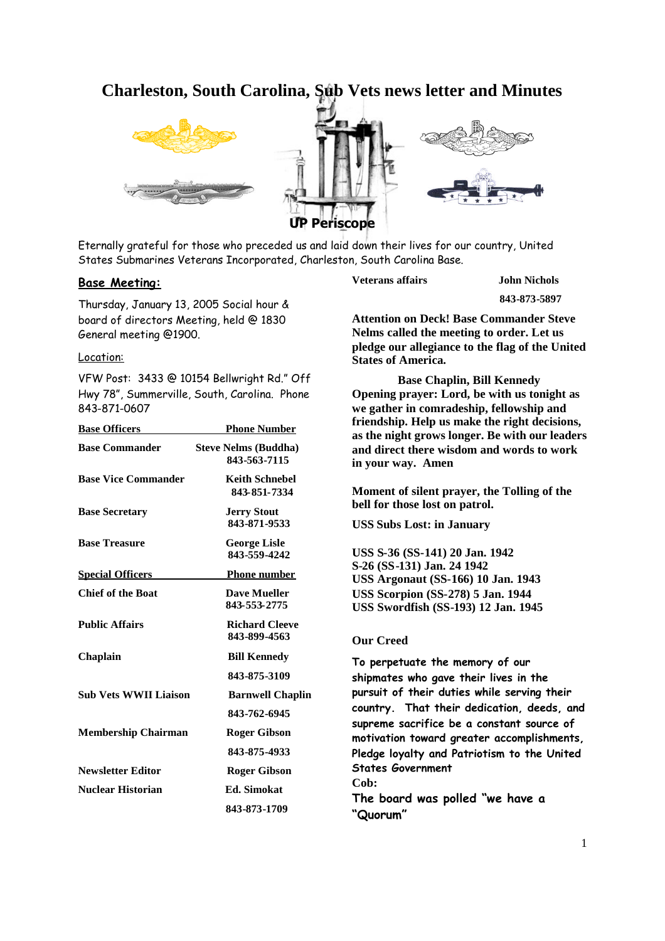# **Charleston, South Carolina, Sub Vets news letter and Minutes**



Eternally grateful for those who preceded us and laid down their lives for our country, United States Submarines Veterans Incorporated, Charleston, South Carolina Base.

# **Base Meeting:**

Thursday, January 13, 2005 Social hour & board of directors Meeting, held @ 1830 General meeting @1900.

#### Location:

VFW Post: 3433 @ 10154 Bellwright Rd." Off Hwy 78", Summerville, South, Carolina. Phone 843-871-0607

| <b>Base Officers</b>         | <b>Phone Number</b>                         |
|------------------------------|---------------------------------------------|
| <b>Base Commander</b>        | <b>Steve Nelms (Buddha)</b><br>843-563-7115 |
| <b>Base Vice Commander</b>   | <b>Keith Schnebel</b><br>843-851-7334       |
| <b>Base Secretary</b>        | <b>Jerry Stout</b><br>843-871-9533          |
| <b>Base Treasure</b>         | <b>George Lisle</b><br>843-559-4242         |
| <b>Special Officers</b>      | <b>Phone number</b>                         |
| <b>Chief of the Boat</b>     | <b>Dave Mueller</b><br>843-553-2775         |
| <b>Public Affairs</b>        | <b>Richard Cleeve</b><br>843-899-4563       |
| Chaplain                     | <b>Bill Kennedy</b>                         |
|                              | 843-875-3109                                |
| <b>Sub Vets WWII Liaison</b> | <b>Barnwell Chaplin</b>                     |
|                              | 843-762-6945                                |
| <b>Membership Chairman</b>   | <b>Roger Gibson</b>                         |
|                              | 843-875-4933                                |
| <b>Newsletter Editor</b>     | Roger Gibson                                |
| Nuclear Historian            | <b>Ed.</b> Simokat                          |
|                              | 843-873-1709                                |

**Veterans affairs John Nichols**

**843-873-5897**

**Attention on Deck! Base Commander Steve Nelms called the meeting to order. Let us pledge our allegiance to the flag of the United States of America.**

**Base Chaplin, Bill Kennedy Opening prayer: Lord, be with us tonight as we gather in comradeship, fellowship and friendship. Help us make the right decisions, as the night grows longer. Be with our leaders and direct there wisdom and words to work in your way. Amen**

**Moment of silent prayer, the Tolling of the bell for those lost on patrol.**

**USS Subs Lost: in January**

**USS S-36 (SS-141) 20 Jan. 1942 S-26 (SS-131) Jan. 24 1942 USS Argonaut (SS-166) 10 Jan. 1943 USS Scorpion (SS-278) 5 Jan. 1944 USS Swordfish (SS-193) 12 Jan. 1945**

## **Our Creed**

**To perpetuate the memory of our shipmates who gave their lives in the pursuit of their duties while serving their country. That their dedication, deeds, and supreme sacrifice be a constant source of motivation toward greater accomplishments, Pledge loyalty and Patriotism to the United States Government Cob: The board was polled "we have a "Quorum"**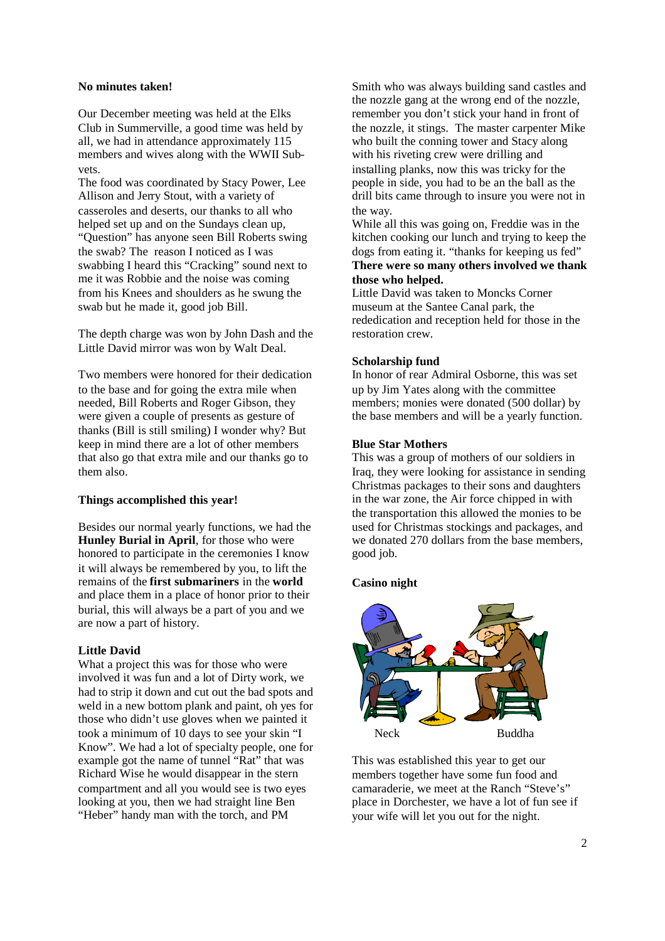#### **No minutes taken!**

Our December meeting was held at the Elks Club in Summerville, a good time was held by all, we had in attendance approximately 115 members and wives along with the WWII Subvets.

The food was coordinated by Stacy Power, Lee Allison and Jerry Stout, with a variety of casseroles and deserts, our thanks to all who helped set up and on the Sundays clean up, "Question" has anyone seen Bill Roberts swing the swab? The reason I noticed as I was swabbing I heard this "Cracking" sound next to me it was Robbie and the noise was coming from his Knees and shoulders as he swung the swab but he made it, good job Bill.

The depth charge was won by John Dash and the Little David mirror was won by Walt Deal.

Two members were honored for their dedication to the base and for going the extra mile when needed, Bill Roberts and Roger Gibson, they were given a couple of presents as gesture of thanks (Bill is still smiling) I wonder why? But keep in mind there are a lot of other members that also go that extra mile and our thanks go to them also.

# **Things accomplished this year!**

Besides our normal yearly functions, we had the **Hunley Burial in April**, for those who were honored to participate in the ceremonies I know it will always be remembered by you, to lift the remains of the **first submariners** in the **world** and place them in a place of honor prior to their burial, this will always be a part of you and we are now a part of history.

## **Little David**

What a project this was for those who were involved it was fun and a lot of Dirty work, we had to strip it down and cut out the bad spots and weld in a new bottom plank and paint, oh yes for those who didn't use gloves when we painted it took a minimum of 10 days to see your skin "I Know". We had a lot of specialty people, one for example got the name of tunnel "Rat" that was Richard Wise he would disappear in the stern compartment and all you would see is two eyes looking at you, then we had straight line Ben "Heber" handy man with the torch, and PM

Smith who was always building sand castles and the nozzle gang at the wrong end of the nozzle, remember you don't stick your hand in front of the nozzle, it stings. The master carpenter Mike who built the conning tower and Stacy along with his riveting crew were drilling and installing planks, now this was tricky for the people in side, you had to be an the ball as the drill bits came through to insure you were not in the way.

While all this was going on, Freddie was in the kitchen cooking our lunch and trying to keep the dogs from eating it. "thanks for keeping us fed" **There were so many others involved we thank those who helped.**

Little David was taken to Moncks Corner museum at the Santee Canal park, the rededication and reception held for those in the restoration crew.

# **Scholarship fund**

In honor of rear Admiral Osborne, this was set up by Jim Yates along with the committee members; monies were donated (500 dollar) by the base members and will be a yearly function.

#### **Blue Star Mothers**

This was a group of mothers of our soldiers in Iraq, they were looking for assistance in sending Christmas packages to their sons and daughters in the war zone, the Air force chipped in with the transportation this allowed the monies to be used for Christmas stockings and packages, and we donated 270 dollars from the base members, good job.

#### **Casino night**



This was established this year to get our members together have some fun food and camaraderie, we meet at the Ranch "Steve's" place in Dorchester, we have a lot of fun see if your wife will let you out for the night.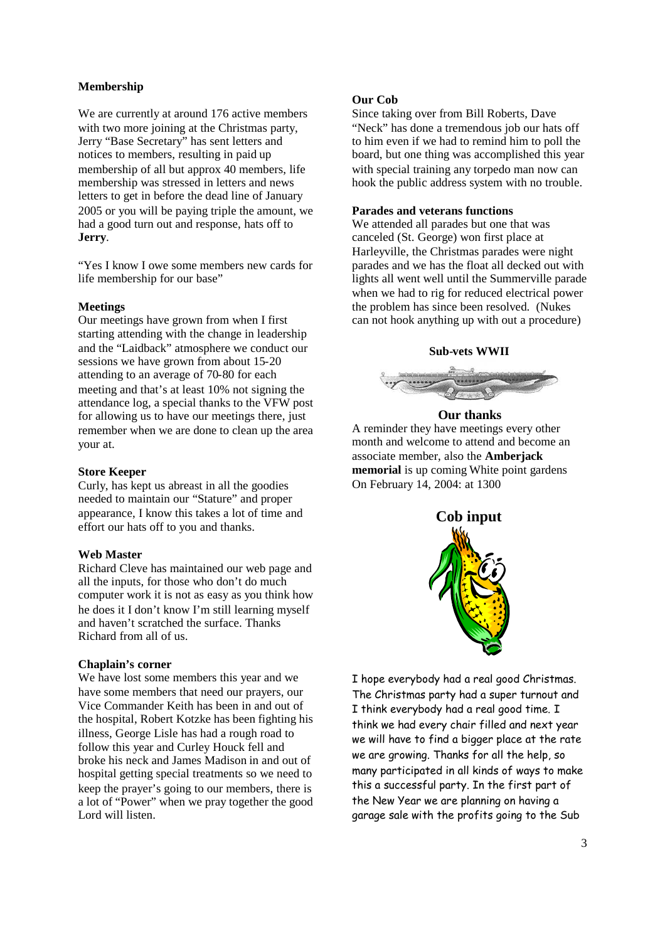# **Membership**

We are currently at around 176 active members with two more joining at the Christmas party, Jerry "Base Secretary" has sent letters and notices to members, resulting in paid up membership of all but approx 40 members, life membership was stressed in letters and news letters to get in before the dead line of January 2005 or you will be paying triple the amount, we had a good turn out and response, hats off to **Jerry**.

"Yes I know I owe some members new cards for life membership for our base"

#### **Meetings**

Our meetings have grown from when I first starting attending with the change in leadership and the "Laidback" atmosphere we conduct our sessions we have grown from about 15-20 attending to an average of 70-80 for each meeting and that's at least 10% not signing the attendance log, a special thanks to the VFW post for allowing us to have our meetings there, just remember when we are done to clean up the area your at.

#### **Store Keeper**

Curly, has kept us abreast in all the goodies needed to maintain our "Stature" and proper appearance, I know this takes a lot of time and effort our hats off to you and thanks.

#### **Web Master**

Richard Cleve has maintained our web page and all the inputs, for those who don't do much computer work it is not as easy as you think how he does it I don't know I'm still learning myself and haven't scratched the surface. Thanks Richard from all of us.

#### **Chaplain's corner**

We have lost some members this year and we have some members that need our prayers, our Vice Commander Keith has been in and out of the hospital, Robert Kotzke has been fighting his illness, George Lisle has had a rough road to follow this year and Curley Houck fell and broke his neck and James Madison in and out of hospital getting special treatments so we need to keep the prayer's going to our members, there is a lot of "Power" when we pray together the good Lord will listen.

#### **Our Cob**

Since taking over from Bill Roberts, Dave "Neck" has done a tremendous job our hats off to him even if we had to remind him to poll the board, but one thing was accomplished this year with special training any torpedo man now can hook the public address system with no trouble.

#### **Parades and veterans functions**

We attended all parades but one that was canceled (St. George) won first place at Harleyville, the Christmas parades were night parades and we has the float all decked out with lights all went well until the Summerville parade when we had to rig for reduced electrical power the problem has since been resolved. (Nukes can not hook anything up with out a procedure)

#### **Sub-vets WWII**



# **Our thanks**

A reminder they have meetings every other month and welcome to attend and become an associate member, also the **Amberjack memorial** is up coming White point gardens On February 14, 2004: at 1300



I hope everybody had a real good Christmas. The Christmas party had a super turnout and I think everybody had a real good time. I think we had every chair filled and next year we will have to find a bigger place at the rate we are growing. Thanks for all the help, so many participated in all kinds of ways to make this a successful party. In the first part of the New Year we are planning on having a garage sale with the profits going to the Sub